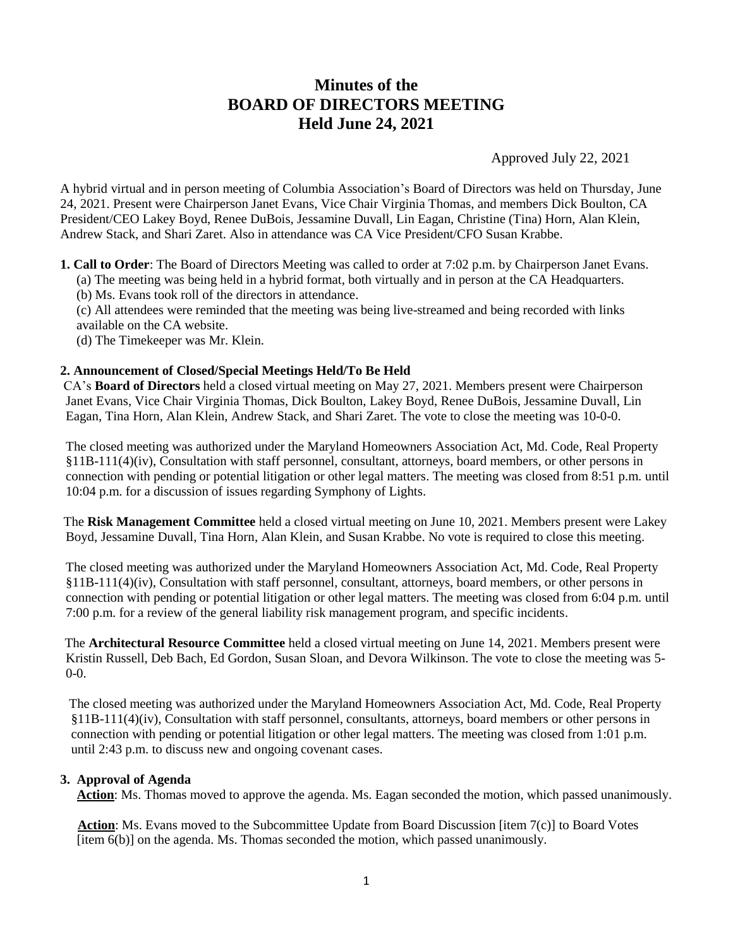# **Minutes of the BOARD OF DIRECTORS MEETING Held June 24, 2021**

Approved July 22, 2021

A hybrid virtual and in person meeting of Columbia Association's Board of Directors was held on Thursday, June 24, 2021. Present were Chairperson Janet Evans, Vice Chair Virginia Thomas, and members Dick Boulton, CA President/CEO Lakey Boyd, Renee DuBois, Jessamine Duvall, Lin Eagan, Christine (Tina) Horn, Alan Klein, Andrew Stack, and Shari Zaret. Also in attendance was CA Vice President/CFO Susan Krabbe.

**1. Call to Order**: The Board of Directors Meeting was called to order at 7:02 p.m. by Chairperson Janet Evans.

(a) The meeting was being held in a hybrid format, both virtually and in person at the CA Headquarters.

(b) Ms. Evans took roll of the directors in attendance.

(c) All attendees were reminded that the meeting was being live-streamed and being recorded with links available on the CA website.

(d) The Timekeeper was Mr. Klein.

## **2. Announcement of Closed/Special Meetings Held/To Be Held**

CA's **Board of Directors** held a closed virtual meeting on May 27, 2021. Members present were Chairperson Janet Evans, Vice Chair Virginia Thomas, Dick Boulton, Lakey Boyd, Renee DuBois, Jessamine Duvall, Lin Eagan, Tina Horn, Alan Klein, Andrew Stack, and Shari Zaret. The vote to close the meeting was 10-0-0.

The closed meeting was authorized under the Maryland Homeowners Association Act, Md. Code, Real Property §11B-111(4)(iv), Consultation with staff personnel, consultant, attorneys, board members, or other persons in connection with pending or potential litigation or other legal matters. The meeting was closed from 8:51 p.m. until 10:04 p.m. for a discussion of issues regarding Symphony of Lights.

The **Risk Management Committee** held a closed virtual meeting on June 10, 2021. Members present were Lakey Boyd, Jessamine Duvall, Tina Horn, Alan Klein, and Susan Krabbe. No vote is required to close this meeting.

The closed meeting was authorized under the Maryland Homeowners Association Act, Md. Code, Real Property §11B-111(4)(iv), Consultation with staff personnel, consultant, attorneys, board members, or other persons in connection with pending or potential litigation or other legal matters. The meeting was closed from 6:04 p.m. until 7:00 p.m. for a review of the general liability risk management program, and specific incidents.

 The **Architectural Resource Committee** held a closed virtual meeting on June 14, 2021. Members present were Kristin Russell, Deb Bach, Ed Gordon, Susan Sloan, and Devora Wilkinson. The vote to close the meeting was 5- 0-0.

The closed meeting was authorized under the Maryland Homeowners Association Act, Md. Code, Real Property §11B-111(4)(iv), Consultation with staff personnel, consultants, attorneys, board members or other persons in connection with pending or potential litigation or other legal matters. The meeting was closed from 1:01 p.m. until 2:43 p.m. to discuss new and ongoing covenant cases.

#### **3. Approval of Agenda**

**Action**: Ms. Thomas moved to approve the agenda. Ms. Eagan seconded the motion, which passed unanimously.

 **Action**: Ms. Evans moved to the Subcommittee Update from Board Discussion [item 7(c)] to Board Votes [item 6(b)] on the agenda. Ms. Thomas seconded the motion, which passed unanimously.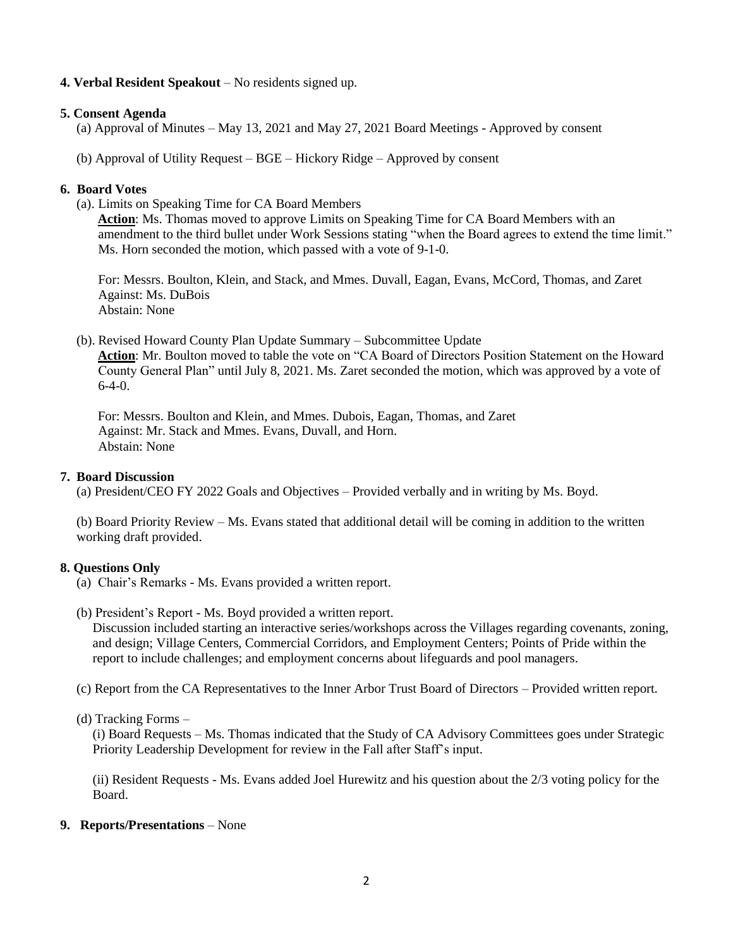## **4. Verbal Resident Speakout** – No residents signed up.

### **5. Consent Agenda**

- (a) Approval of Minutes May 13, 2021 and May 27, 2021 Board Meetings Approved by consent
- (b) Approval of Utility Request BGE Hickory Ridge Approved by consent

#### **6. Board Votes**

(a). Limits on Speaking Time for CA Board Members

**Action**: Ms. Thomas moved to approve Limits on Speaking Time for CA Board Members with an amendment to the third bullet under Work Sessions stating "when the Board agrees to extend the time limit." Ms. Horn seconded the motion, which passed with a vote of 9-1-0.

For: Messrs. Boulton, Klein, and Stack, and Mmes. Duvall, Eagan, Evans, McCord, Thomas, and Zaret Against: Ms. DuBois Abstain: None

(b). Revised Howard County Plan Update Summary – Subcommittee Update

**Action**: Mr. Boulton moved to table the vote on "CA Board of Directors Position Statement on the Howard County General Plan" until July 8, 2021. Ms. Zaret seconded the motion, which was approved by a vote of  $6-4-0.$ 

For: Messrs. Boulton and Klein, and Mmes. Dubois, Eagan, Thomas, and Zaret Against: Mr. Stack and Mmes. Evans, Duvall, and Horn. Abstain: None

#### **7. Board Discussion**

(a) President/CEO FY 2022 Goals and Objectives – Provided verbally and in writing by Ms. Boyd.

(b) Board Priority Review – Ms. Evans stated that additional detail will be coming in addition to the written working draft provided.

## **8. Questions Only**

- (a) Chair's Remarks Ms. Evans provided a written report.
- (b) President's Report Ms. Boyd provided a written report.

Discussion included starting an interactive series/workshops across the Villages regarding covenants, zoning, and design; Village Centers, Commercial Corridors, and Employment Centers; Points of Pride within the report to include challenges; and employment concerns about lifeguards and pool managers.

(c) Report from the CA Representatives to the Inner Arbor Trust Board of Directors – Provided written report.

(d) Tracking Forms –

(i) Board Requests – Ms. Thomas indicated that the Study of CA Advisory Committees goes under Strategic Priority Leadership Development for review in the Fall after Staff's input.

(ii) Resident Requests - Ms. Evans added Joel Hurewitz and his question about the 2/3 voting policy for the Board.

## **9. Reports/Presentations** – None